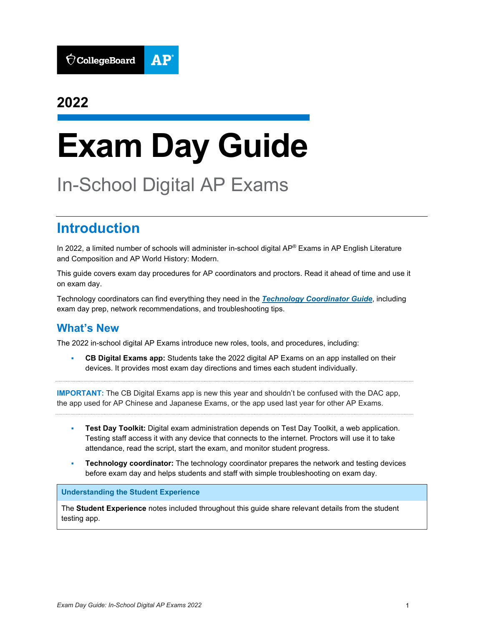

# **2022**

# **Exam Day Guide**

# In-School Digital AP Exams

# **Introduction**

In 2022, a limited number of schools will administer in-school digital AP® Exams in AP English Literature and Composition and AP World History: Modern.

This guide covers exam day procedures for AP coordinators and proctors. Read it ahead of time and use it on exam day.

Technology coordinators can find everything they need in the *[Technology Coordinator Guide](https://secure-media.collegeboard.org/apc/ap-technology-coordinator-guide-digital.pdf)*, including exam day prep, network recommendations, and troubleshooting tips.

### **What's New**

The 2022 in-school digital AP Exams introduce new roles, tools, and procedures, including:

 **CB Digital Exams app:** Students take the 2022 digital AP Exams on an app installed on their devices. It provides most exam day directions and times each student individually.

**IMPORTANT:** The CB Digital Exams app is new this year and shouldn't be confused with the DAC app, the app used for AP Chinese and Japanese Exams, or the app used last year for other AP Exams.

- **Test Day Toolkit:** Digital exam administration depends on Test Day Toolkit, a web application. Testing staff access it with any device that connects to the internet. Proctors will use it to take attendance, read the script, start the exam, and monitor student progress.
- **Technology coordinator:** The technology coordinator prepares the network and testing devices before exam day and helps students and staff with simple troubleshooting on exam day.

### **Understanding the Student Experience**

The **Student Experience** notes included throughout this guide share relevant details from the student testing app.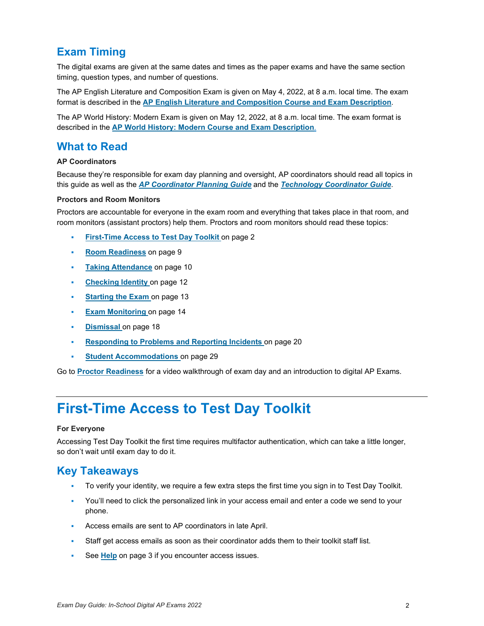### **Exam Timing**

The digital exams are given at the same dates and times as the paper exams and have the same section timing, question types, and number of questions.

The AP English Literature and Composition Exam is given on May 4, 2022, at 8 a.m. local time. The exam format is described in the **[AP English Literature and Composition Course and Exam Description](https://apcentral.collegeboard.org/pdf/ap-english-literature-and-composition-course-and-exam-description.pdf)**.

The AP World History: Modern Exam is given on May 12, 2022, at 8 a.m. local time. The exam format is described in the **[AP World History: Modern Course and Exam Description](https://apcentral.collegeboard.org/pdf/ap-world-history-modern-course-and-exam-description.pdf)**.

### **What to Read**

### **AP Coordinators**

Because they're responsible for exam day planning and oversight, AP coordinators should read all topics in this guide as well as the *[AP Coordinator](https://advancedplacement.clickhelp.co/articles/ap-coordinator-planning-guide-2022-in-school-digital-ap-exams-publication) Planning Guide* and the *[Technology Coordinator Guide](https://secure-media.collegeboard.org/apc/ap-technology-coordinator-guide-digital-2022.pdf)*.

### **Proctors and Room Monitors**

Proctors are accountable for everyone in the exam room and everything that takes place in that room, and room monitors (assistant proctors) help them. Proctors and room monitors should read these topics:

- **[First-Time Access to Test Day Toolkit](#page-1-0)** on page 2
- **[Room Readiness](#page-8-0)** on page 9
- **[Taking Attendance](#page-9-0)** on page 10
- **[Checking Identity](#page-11-0) on page 12**
- **[Starting the Exam](#page-12-0) on page 13**
- **[Exam Monitoring](#page-13-0) on page 14**
- **[Dismissal](#page-17-0)** on page 18
- **[Responding to Problems and Reporting Incidents](#page-19-0)** on page 20
- **[Student Accommodations](#page-28-0)** on page 29

<span id="page-1-0"></span>Go to **Proctor [Readiness](https://apcentral.collegeboard.org/about-ap/digital-ap-exams/proctor-readiness)** for a video walkthrough of exam day and an introduction to digital AP Exams.

# **First-Time Access to Test Day Toolkit**

#### **For Everyone**

Accessing Test Day Toolkit the first time requires multifactor authentication, which can take a little longer, so don't wait until exam day to do it.

### **Key Takeaways**

- To verify your identity, we require a few extra steps the first time you sign in to Test Day Toolkit.
- You'll need to click the personalized link in your access email and enter a code we send to your phone.
- Access emails are sent to AP coordinators in late April.
- Staff get access emails as soon as their coordinator adds them to their toolkit staff list.
- See **[Help](#page-2-0)** on page 3 if you encounter access issues.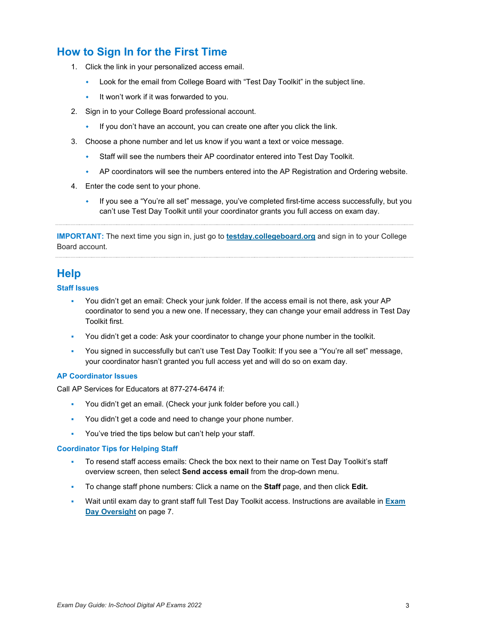### **How to Sign In for the First Time**

- 1. Click the link in your personalized access email.
	- Look for the email from College Board with "Test Day Toolkit" in the subject line.
	- $\bullet$  It won't work if it was forwarded to you.
- 2. Sign in to your College Board professional account.
	- If you don't have an account, you can create one after you click the link.
- 3. Choose a phone number and let us know if you want a text or voice message.
	- Staff will see the numbers their AP coordinator entered into Test Day Toolkit.
	- AP coordinators will see the numbers entered into the AP Registration and Ordering website.
- 4. Enter the code sent to your phone.
	- If you see a "You're all set" message, you've completed first-time access successfully, but you can't use Test Day Toolkit until your coordinator grants you full access on exam day.

**IMPORTANT:** The next time you sign in, just go to **[testday.collegeboard.org](https://testday.collegeboard.org/)** and sign in to your College Board account.

### <span id="page-2-0"></span>**Help**

### **Staff Issues**

- You didn't get an email: Check your junk folder. If the access email is not there, ask your AP coordinator to send you a new one. If necessary, they can change your email address in Test Day Toolkit first.
- You didn't get a code: Ask your coordinator to change your phone number in the toolkit.
- You signed in successfully but can't use Test Day Toolkit: If you see a "You're all set" message, your coordinator hasn't granted you full access yet and will do so on exam day.

### **AP Coordinator Issues**

Call AP Services for Educators at 877-274-6474 if:

- You didn't get an email. (Check your junk folder before you call.)
- You didn't get a code and need to change your phone number.
- You've tried the tips below but can't help your staff.

#### **Coordinator Tips for Helping Staff**

- To resend staff access emails: Check the box next to their name on Test Day Toolkit's staff overview screen, then select **Send access email** from the drop-down menu.
- To change staff phone numbers: Click a name on the **Staff** page, and then click **Edit.**
- Wait until exam day to grant staff full Test Day Toolkit access. Instructions are available in **[Exam](#page-6-0)  [Day Oversight](#page-6-0)** on page 7.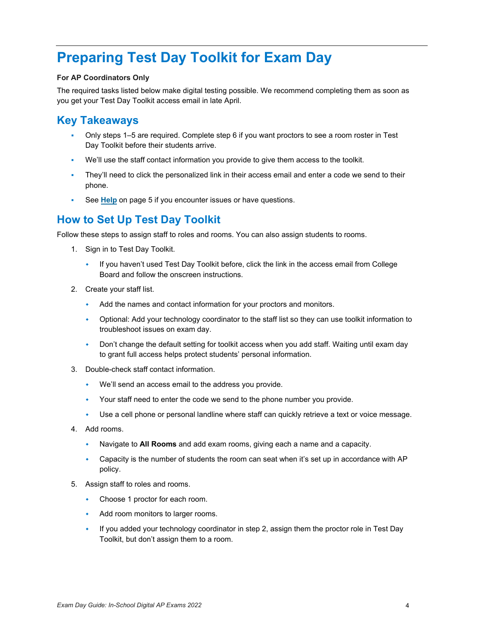# **Preparing Test Day Toolkit for Exam Day**

### **For AP Coordinators Only**

The required tasks listed below make digital testing possible. We recommend completing them as soon as you get your Test Day Toolkit access email in late April.

### **Key Takeaways**

- Only steps 1–5 are required. Complete step 6 if you want proctors to see a room roster in Test Day Toolkit before their students arrive.
- We'll use the staff contact information you provide to give them access to the toolkit.
- They'll need to click the personalized link in their access email and enter a code we send to their phone.
- See **[Help](#page-4-0)** on page 5 if you encounter issues or have questions.

### **How to Set Up Test Day Toolkit**

Follow these steps to assign staff to roles and rooms. You can also assign students to rooms.

- 1. Sign in to Test Day Toolkit.
	- If you haven't used Test Day Toolkit before, click the link in the access email from College Board and follow the onscreen instructions.
- 2. Create your staff list.
	- Add the names and contact information for your proctors and monitors.
	- Optional: Add your technology coordinator to the staff list so they can use toolkit information to troubleshoot issues on exam day.
	- Don't change the default setting for toolkit access when you add staff. Waiting until exam day to grant full access helps protect students' personal information.
- 3. Double-check staff contact information.
	- We'll send an access email to the address you provide.
	- Your staff need to enter the code we send to the phone number you provide.
	- Use a cell phone or personal landline where staff can quickly retrieve a text or voice message.
- 4. Add rooms.
	- Navigate to **All Rooms** and add exam rooms, giving each a name and a capacity.
	- Capacity is the number of students the room can seat when it's set up in accordance with AP policy.
- 5. Assign staff to roles and rooms.
	- Choose 1 proctor for each room.
	- Add room monitors to larger rooms.
	- If you added your technology coordinator in step 2, assign them the proctor role in Test Day Toolkit, but don't assign them to a room.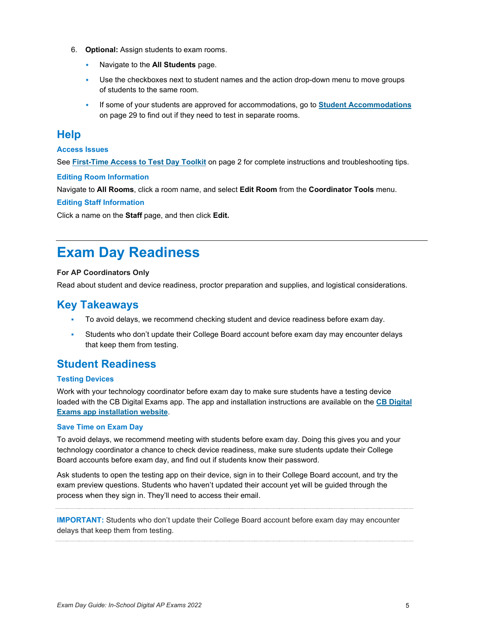- 6. **Optional:** Assign students to exam rooms.
	- Navigate to the **All Students** page.
	- Use the checkboxes next to student names and the action drop-down menu to move groups of students to the same room.
	- If some of your students are approved for accommodations, go to **[Student Accommodations](#page-28-0)** on page 29 to find out if they need to test in separate rooms.

### <span id="page-4-0"></span>**Help**

### **Access Issues**

See **[First-Time Access to Test Day Toolkit](#page-1-0)** on page 2 for complete instructions and troubleshooting tips.

### **Editing Room Information**

Navigate to **All Rooms**, click a room name, and select **Edit Room** from the **Coordinator Tools** menu.

### **Editing Staff Information**

Click a name on the **Staff** page, and then click **Edit.**

# **Exam Day Readiness**

### **For AP Coordinators Only**

Read about student and device readiness, proctor preparation and supplies, and logistical considerations.

### **Key Takeaways**

- To avoid delays, we recommend checking student and device readiness before exam day.
- Students who don't update their College Board account before exam day may encounter delays that keep them from testing.

### **Student Readiness**

### **Testing Devices**

Work with your technology coordinator before exam day to make sure students have a testing device loaded with the CB Digital Exams app. The app and installation instructions are available on the **[CB Digital](https://about.collegeboard.org/digital-exams-installation)  [Exams app installation website](https://about.collegeboard.org/digital-exams-installation)**.

#### **Save Time on Exam Day**

To avoid delays, we recommend meeting with students before exam day. Doing this gives you and your technology coordinator a chance to check device readiness, make sure students update their College Board accounts before exam day, and find out if students know their password.

Ask students to open the testing app on their device, sign in to their College Board account, and try the exam preview questions. Students who haven't updated their account yet will be guided through the process when they sign in. They'll need to access their email.

**IMPORTANT:** Students who don't update their College Board account before exam day may encounter delays that keep them from testing.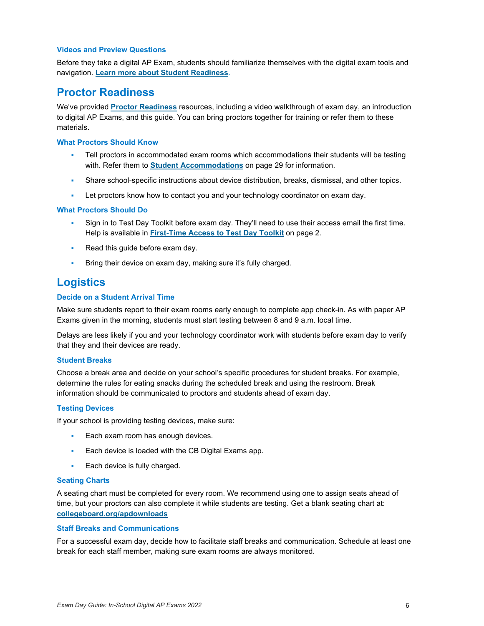### **Videos and Preview Questions**

Before they take a digital AP Exam, students should familiarize themselves with the digital exam tools and navigation. **[Learn more about Student Readiness](https://apcentral.collegeboard.org/about-ap/digital-ap-exams/student-readiness)**.

### **Proctor Readiness**

We've provided **[Proctor Readiness](https://apcentral.collegeboard.org/about-ap/digital-ap-exams/proctor-readiness)** resources, including a video walkthrough of exam day, an introduction to digital AP Exams, and this guide. You can bring proctors together for training or refer them to these materials.

#### **What Proctors Should Know**

- Tell proctors in accommodated exam rooms which accommodations their students will be testing with. Refer them to **[Student Accommodations](#page-28-0)** on page 29 for information.
- Share school-specific instructions about device distribution, breaks, dismissal, and other topics.
- Let proctors know how to contact you and your technology coordinator on exam day.

### **What Proctors Should Do**

- Sign in to Test Day Toolkit before exam day. They'll need to use their access email the first time. Help is available in **[First-Time Access to Test Day Toolkit](#page-1-0)** on page 2.
- Read this guide before exam day.
- **Bring their device on exam day, making sure it's fully charged.**

### **Logistics**

### **Decide on a Student Arrival Time**

Make sure students report to their exam rooms early enough to complete app check-in. As with paper AP Exams given in the morning, students must start testing between 8 and 9 a.m. local time.

Delays are less likely if you and your technology coordinator work with students before exam day to verify that they and their devices are ready.

#### **Student Breaks**

Choose a break area and decide on your school's specific procedures for student breaks. For example, determine the rules for eating snacks during the scheduled break and using the restroom. Break information should be communicated to proctors and students ahead of exam day.

### **Testing Devices**

If your school is providing testing devices, make sure:

- Each exam room has enough devices.
- **Each device is loaded with the CB Digital Exams app.**
- Each device is fully charged.

#### **Seating Charts**

A seating chart must be completed for every room. We recommend using one to assign seats ahead of time, but your proctors can also complete it while students are testing. Get a blank seating chart at: **[collegeboard.org/apdownloads](https://apcentral.collegeboard.org/about-ap/ap-coordinators/resource-library)**

#### **Staff Breaks and Communications**

For a successful exam day, decide how to facilitate staff breaks and communication. Schedule at least one break for each staff member, making sure exam rooms are always monitored.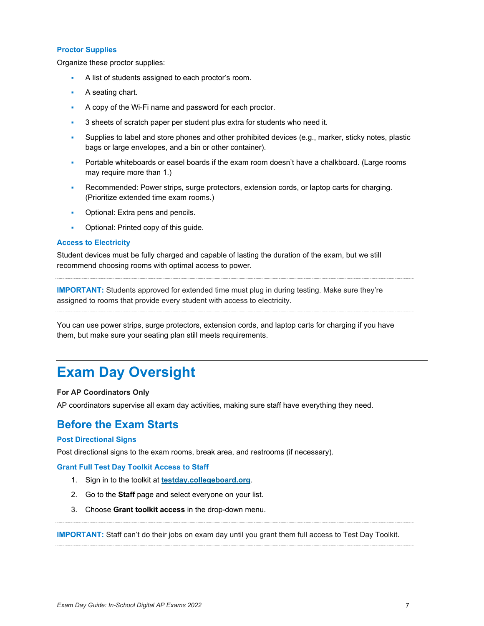### **Proctor Supplies**

Organize these proctor supplies:

- A list of students assigned to each proctor's room.
- A seating chart.
- A copy of the Wi-Fi name and password for each proctor.
- 3 sheets of scratch paper per student plus extra for students who need it.
- Supplies to label and store phones and other prohibited devices (e.g., marker, sticky notes, plastic bags or large envelopes, and a bin or other container).
- Portable whiteboards or easel boards if the exam room doesn't have a chalkboard. (Large rooms may require more than 1.)
- Recommended: Power strips, surge protectors, extension cords, or laptop carts for charging. (Prioritize extended time exam rooms.)
- Optional: Extra pens and pencils.
- Optional: Printed copy of this guide.

#### **Access to Electricity**

Student devices must be fully charged and capable of lasting the duration of the exam, but we still recommend choosing rooms with optimal access to power.

**IMPORTANT:** Students approved for extended time must plug in during testing. Make sure they're assigned to rooms that provide every student with access to electricity.

You can use power strips, surge protectors, extension cords, and laptop carts for charging if you have them, but make sure your seating plan still meets requirements.

# <span id="page-6-0"></span>**Exam Day Oversight**

#### **For AP Coordinators Only**

AP coordinators supervise all exam day activities, making sure staff have everything they need.

### **Before the Exam Starts**

#### **Post Directional Signs**

Post directional signs to the exam rooms, break area, and restrooms (if necessary).

#### **Grant Full Test Day Toolkit Access to Staff**

- 1. Sign in to the toolkit at **[testday.collegeboard.org](https://testday.collegeboard.org/)**.
- 2. Go to the **Staff** page and select everyone on your list.
- 3. Choose **Grant toolkit access** in the drop-down menu.

**IMPORTANT:** Staff can't do their jobs on exam day until you grant them full access to Test Day Toolkit.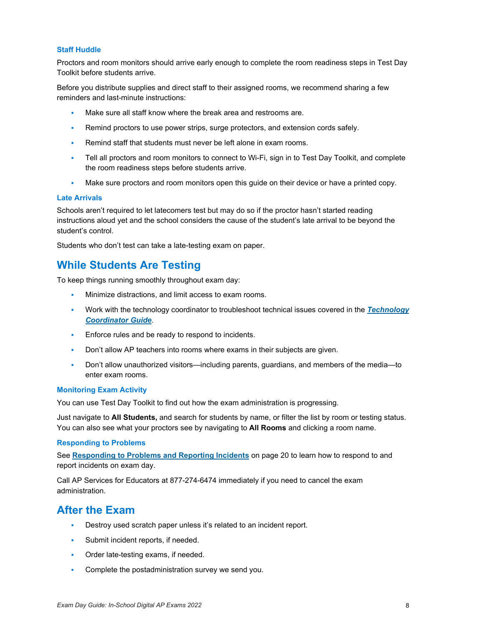### **Staff Huddle**

Proctors and room monitors should arrive early enough to complete the room readiness steps in Test Day Toolkit before students arrive.

Before you distribute supplies and direct staff to their assigned rooms, we recommend sharing a few reminders and last-minute instructions:

- Make sure all staff know where the break area and restrooms are.
- Remind proctors to use power strips, surge protectors, and extension cords safely.
- Remind staff that students must never be left alone in exam rooms.
- Tell all proctors and room monitors to connect to Wi-Fi, sign in to Test Day Toolkit, and complete the room readiness steps before students arrive.
- Make sure proctors and room monitors open this guide on their device or have a printed copy.

#### **Late Arrivals**

Schools aren't required to let latecomers test but may do so if the proctor hasn't started reading instructions aloud yet and the school considers the cause of the student's late arrival to be beyond the student's control.

Students who don't test can take a late-testing exam on paper.

### **While Students Are Testing**

To keep things running smoothly throughout exam day:

- Minimize distractions, and limit access to exam rooms.
- Work with the technology coordinator to troubleshoot technical issues covered in the *[Technology](https://secure-media.collegeboard.org/apc/ap-technology-coordinator-guide-digital.pdf)  [Coordinator Guide](https://secure-media.collegeboard.org/apc/ap-technology-coordinator-guide-digital.pdf)*.
- **Enforce rules and be ready to respond to incidents.**
- Don't allow AP teachers into rooms where exams in their subjects are given.
- Don't allow unauthorized visitors—including parents, guardians, and members of the media—to enter exam rooms.

#### **Monitoring Exam Activity**

You can use Test Day Toolkit to find out how the exam administration is progressing.

Just navigate to **All Students,** and search for students by name, or filter the list by room or testing status. You can also see what your proctors see by navigating to **All Rooms** and clicking a room name.

### **Responding to Problems**

See **[Responding to Problems and Reporting Incidents](#page-19-0)** on page 20 to learn how to respond to and report incidents on exam day.

Call AP Services for Educators at 877-274-6474 immediately if you need to cancel the exam administration.

### **After the Exam**

- Destroy used scratch paper unless it's related to an incident report.
- **Submit incident reports, if needed.**
- **Order late-testing exams, if needed.**
- Complete the postadministration survey we send you.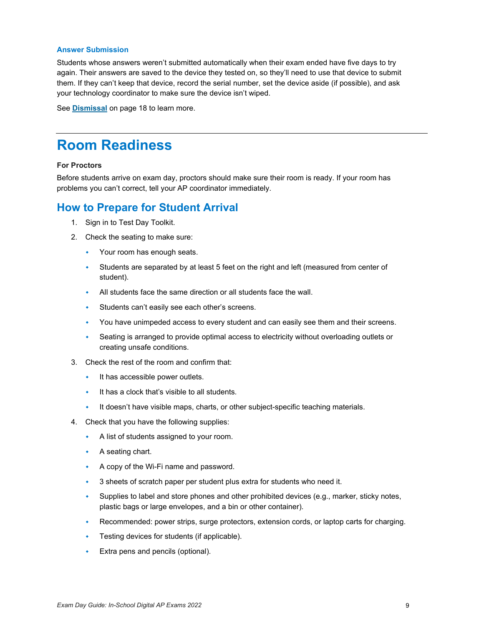#### **Answer Submission**

Students whose answers weren't submitted automatically when their exam ended have five days to try again. Their answers are saved to the device they tested on, so they'll need to use that device to submit them. If they can't keep that device, record the serial number, set the device aside (if possible), and ask your technology coordinator to make sure the device isn't wiped.

<span id="page-8-0"></span>See **[Dismissal](#page-17-0)** on page 18 to learn more.

# **Room Readiness**

### **For Proctors**

Before students arrive on exam day, proctors should make sure their room is ready. If your room has problems you can't correct, tell your AP coordinator immediately.

### **How to Prepare for Student Arrival**

- 1. Sign in to Test Day Toolkit.
- 2. Check the seating to make sure:
	- Your room has enough seats.
	- Students are separated by at least 5 feet on the right and left (measured from center of student).
	- All students face the same direction or all students face the wall.
	- Students can't easily see each other's screens.
	- You have unimpeded access to every student and can easily see them and their screens.
	- Seating is arranged to provide optimal access to electricity without overloading outlets or creating unsafe conditions.
- 3. Check the rest of the room and confirm that:
	- $\cdot$  It has accessible power outlets.
	- It has a clock that's visible to all students.
	- It doesn't have visible maps, charts, or other subject-specific teaching materials.
- 4. Check that you have the following supplies:
	- A list of students assigned to your room.
	- A seating chart.
	- A copy of the Wi-Fi name and password.
	- 3 sheets of scratch paper per student plus extra for students who need it.
	- $\bullet$  Supplies to label and store phones and other prohibited devices (e.g., marker, sticky notes, plastic bags or large envelopes, and a bin or other container).
	- Recommended: power strips, surge protectors, extension cords, or laptop carts for charging.
	- Testing devices for students (if applicable).
	- Extra pens and pencils (optional).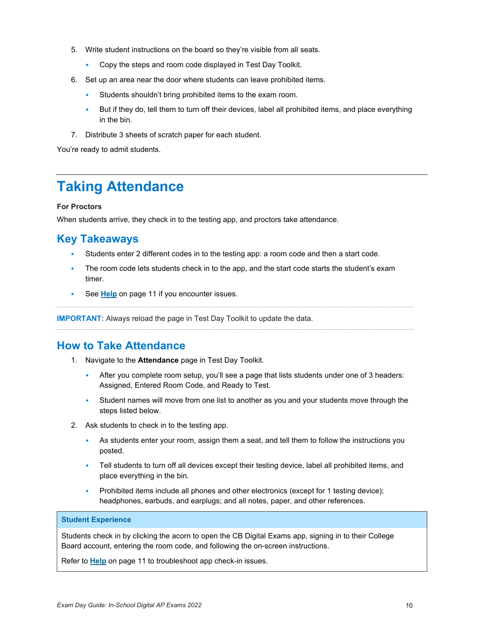- 5. Write student instructions on the board so they're visible from all seats.
	- Copy the steps and room code displayed in Test Day Toolkit.
- 6. Set up an area near the door where students can leave prohibited items.
	- Students shouldn't bring prohibited items to the exam room.
	- But if they do, tell them to turn off their devices, label all prohibited items, and place everything in the bin.
- 7. Distribute 3 sheets of scratch paper for each student.

<span id="page-9-0"></span>You're ready to admit students.

# **Taking Attendance**

### **For Proctors**

When students arrive, they check in to the testing app, and proctors take attendance.

### **Key Takeaways**

- Students enter 2 different codes in to the testing app: a room code and then a start code.
- The room code lets students check in to the app, and the start code starts the student's exam timer.
- See **[Help](#page-10-0)** on page 11 if you encounter issues.

**IMPORTANT:** Always reload the page in Test Day Toolkit to update the data.

### **How to Take Attendance**

- 1. Navigate to the **Attendance** page in Test Day Toolkit.
	- After you complete room setup, you'll see a page that lists students under one of 3 headers: Assigned, Entered Room Code, and Ready to Test.
	- Student names will move from one list to another as you and your students move through the steps listed below.
- 2. Ask students to check in to the testing app.
	- As students enter your room, assign them a seat, and tell them to follow the instructions you posted.
	- Tell students to turn off all devices except their testing device, label all prohibited items, and place everything in the bin.
	- Prohibited items include all phones and other electronics (except for 1 testing device); headphones, earbuds, and earplugs; and all notes, paper, and other references.

### **Student Experience**

Students check in by clicking the acorn to open the CB Digital Exams app, signing in to their College Board account, entering the room code, and following the on-screen instructions.

Refer to **[Help](#page-10-0)** on page 11 to troubleshoot app check-in issues.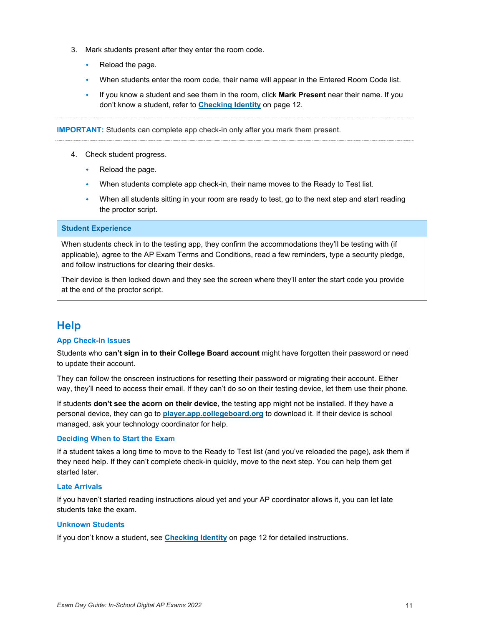- 3. Mark students present after they enter the room code.
	- Reload the page.
	- When students enter the room code, their name will appear in the Entered Room Code list.
	- If you know a student and see them in the room, click **Mark Present** near their name. If you don't know a student, refer to **[Checking](#page-11-0) Identity** on page 12.

**IMPORTANT:** Students can complete app check-in only after you mark them present.

- 4. Check student progress.
	- $\leftarrow$  Reload the page.
	- When students complete app check-in, their name moves to the Ready to Test list.
	- When all students sitting in your room are ready to test, go to the next step and start reading the proctor script.

### **Student Experience**

When students check in to the testing app, they confirm the accommodations they'll be testing with (if applicable), agree to the AP Exam Terms and Conditions, read a few reminders, type a security pledge, and follow instructions for clearing their desks.

Their device is then locked down and they see the screen where they'll enter the start code you provide at the end of the proctor script.

### <span id="page-10-0"></span>**Help**

#### **App Check-In Issues**

Students who **can't sign in to their College Board account** might have forgotten their password or need to update their account.

They can follow the onscreen instructions for resetting their password or migrating their account. Either way, they'll need to access their email. If they can't do so on their testing device, let them use their phone.

If students **don't see the acorn on their device**, the testing app might not be installed. If they have a personal device, they can go to **[player.app.collegeboard.org](https://player.app.collegeboard.org/)** to download it. If their device is school managed, ask your technology coordinator for help.

### **Deciding When to Start the Exam**

If a student takes a long time to move to the Ready to Test list (and you've reloaded the page), ask them if they need help. If they can't complete check-in quickly, move to the next step. You can help them get started later.

### **Late Arrivals**

If you haven't started reading instructions aloud yet and your AP coordinator allows it, you can let late students take the exam.

#### **Unknown Students**

If you don't know a student, see **[Checking Identity](#page-11-0)** on page 12 for detailed instructions.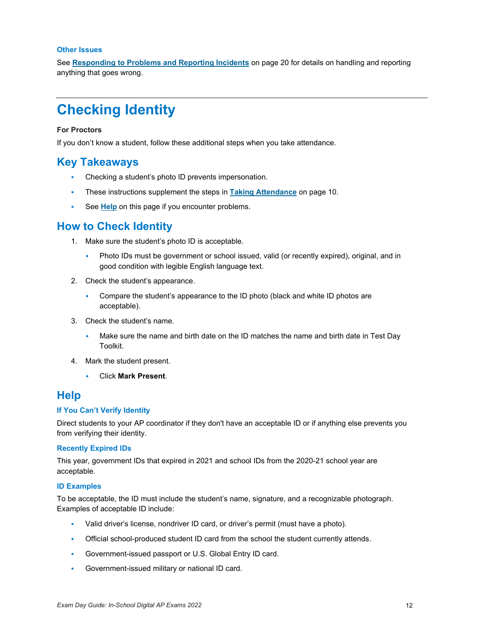#### **Other Issues**

See **[Responding to Problems and Reporting Incidents](#page-19-0)** on page 20 for details on handling and reporting anything that goes wrong.

# <span id="page-11-0"></span>**Checking Identity**

### **For Proctors**

If you don't know a student, follow these additional steps when you take attendance.

### **Key Takeaways**

- Checking a student's photo ID prevents impersonation.
- These instructions supplement the steps in **[Taking Attendance](#page-9-0)** on page 10.
- See **[Help](#page-11-1)** on this page if you encounter problems.

### **How to Check Identity**

- 1. Make sure the student's photo ID is acceptable.
	- Photo IDs must be government or school issued, valid (or recently expired), original, and in good condition with legible English language text.
- 2. Check the student's appearance.
	- Compare the student's appearance to the ID photo (black and white ID photos are acceptable).
- 3. Check the student's name.
	- Make sure the name and birth date on the ID matches the name and birth date in Test Day Toolkit.
- 4. Mark the student present.
	- Click **Mark Present**.

### <span id="page-11-1"></span>**Help**

#### **If You Can't Verify Identity**

Direct students to your AP coordinator if they don't have an acceptable ID or if anything else prevents you from verifying their identity.

#### **Recently Expired IDs**

This year, government IDs that expired in 2021 and school IDs from the 2020-21 school year are acceptable.

#### **ID Examples**

To be acceptable, the ID must include the student's name, signature, and a recognizable photograph. Examples of acceptable ID include:

- Valid driver's license, nondriver ID card, or driver's permit (must have a photo).
- Official school-produced student ID card from the school the student currently attends.
- Government-issued passport or U.S. Global Entry ID card.
- Government-issued military or national ID card.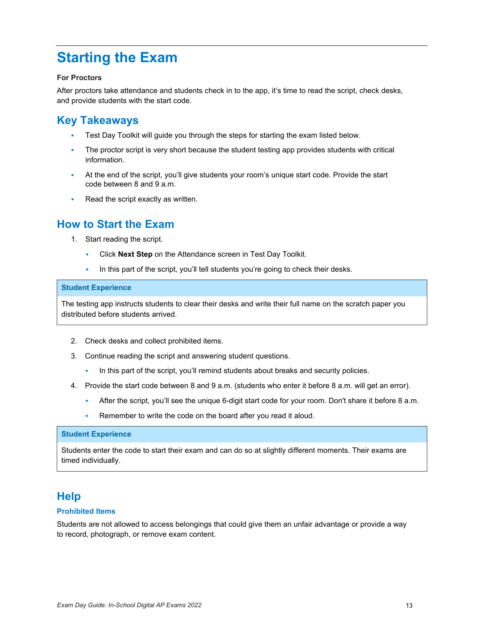# <span id="page-12-0"></span>**Starting the Exam**

### **For Proctors**

After proctors take attendance and students check in to the app, it's time to read the script, check desks, and provide students with the start code.

### **Key Takeaways**

- Test Day Toolkit will guide you through the steps for starting the exam listed below.
- The proctor script is very short because the student testing app provides students with critical information.
- At the end of the script, you'll give students your room's unique start code. Provide the start code between 8 and 9 a.m.
- Re[ad the s](#page-12-1)cript exactly as written.

### **How to Start the Exam**

- 1. Start reading the script.
	- Click **Next Step** on the Attendance screen in Test Day Toolkit.
	- In this part of the script, you'll tell students you're going to check their desks.

#### **Student Experience**

The testing app instructs students to clear their desks and write their full name on the scratch paper you distributed before students arrived.

- 2. Check desks and collect prohibited items.
- 3. Continue reading the script and answering student questions.
	- In this part of the script, you'll remind students about breaks and security policies.
- 4. Provide the start code between 8 and 9 a.m. (students who enter it before 8 a.m. will get an error).
	- After the script, you'll see the unique 6-digit start code for your room. Don't share it before 8 a.m.
	- Remember to write the code on the board after you read it aloud.

### **Student Experience**

Students enter the code to start their exam and can do so at slightly different moments. Their exams are timed individually.

### <span id="page-12-1"></span>**Help**

#### **Prohibited Items**

Students are not allowed to access belongings that could give them an unfair advantage or provide a way to record, photograph, or remove exam content.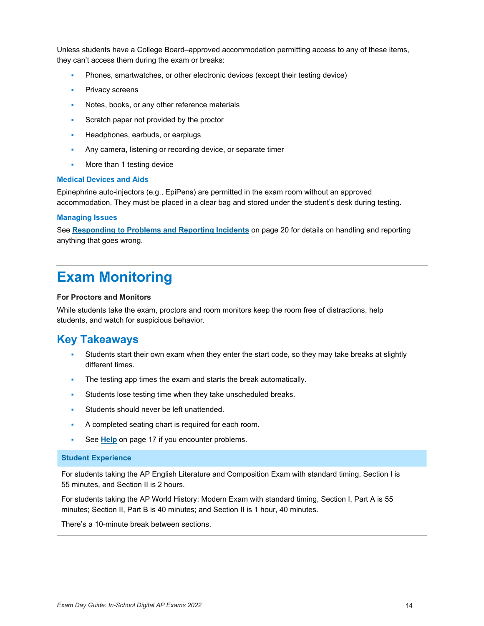Unless students have a College Board–approved accommodation permitting access to any of these items, they can't access them during the exam or breaks:

- Phones, smartwatches, or other electronic devices (except their testing device)
- Privacy screens
- **Notes, books, or any other reference materials**
- **Scratch paper not provided by the proctor**
- Headphones, earbuds, or earplugs
- Any camera, listening or recording device, or separate timer
- **More than 1 testing device**

#### **Medical Devices and Aids**

Epinephrine auto-injectors (e.g., EpiPens) are permitted in the exam room without an approved accommodation. They must be placed in a clear bag and stored under the student's desk during testing. 

#### **Managing Issues**

See **[Responding to Problems and Reporting Incidents](#page-19-0)** on page 20 for details on handling and reporting anything that goes wrong.

# <span id="page-13-0"></span>**Exam Monitoring**

#### **For Proctors and Monitors**

While students take the exam, proctors and room monitors keep the room free of distractions, help students, and watch for suspicious behavior.

### **Key Takeaways**

- Students start their own exam when they enter the start code, so they may take breaks at slightly different times.
- The testing app times the exam and starts the break automatically.
- Students lose testing time when they take unscheduled breaks.
- **Students should never be left unattended.**
- A completed seating chart is required for each room.
- See **[Help](#page-16-0)** on page 17 if you encounter problems.

### **Student Experience**

For students taking the AP English Literature and Composition Exam with standard timing, Section I is 55 minutes, and Section II is 2 hours.

For students taking the AP World History: Modern Exam with standard timing, Section I, Part A is 55 minutes; Section II, Part B is 40 minutes; and Section II is 1 hour, 40 minutes.

There's a 10-minute break between sections.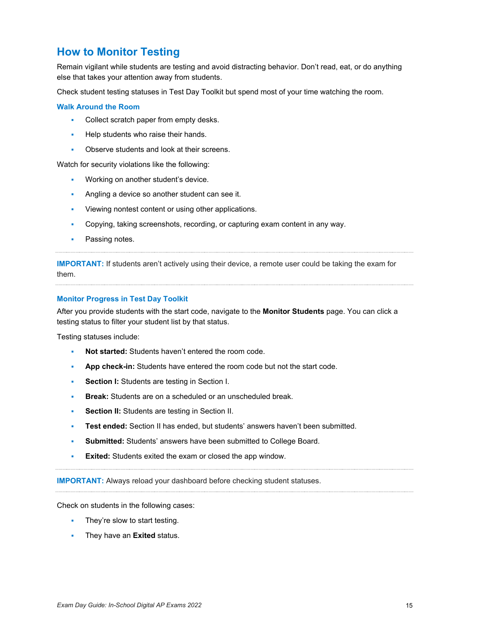### **How to Monitor Testing**

Remain vigilant while students are testing and avoid distracting behavior. Don't read, eat, or do anything else that takes your attention away from students.

Check student testing statuses in Test Day Toolkit but spend most of your time watching the room.

### **Walk Around the Room**

- Collect scratch paper from empty desks.
- Help students who raise their hands.
- **D** Observe students and look at their screens.

Watch for security violations like the following:

- Working on another student's device.
- Angling a device so another student can see it.
- Viewing nontest content or using other applications.
- Copying, taking screenshots, recording, or capturing exam content in any way.
- Passing notes.

**IMPORTANT:** If students aren't actively using their device, a remote user could be taking the exam for them.

### **Monitor Progress in Test Day Toolkit**

After you provide students with the start code, navigate to the **Monitor Students** page. You can click a testing status to filter your student list by that status.

Testing statuses include:

- **Not started:** Students haven't entered the room code.
- **App check-in:** Students have entered the room code but not the start code.
- **Section I:** Students are testing in Section I.
- **Break:** Students are on a scheduled or an unscheduled break.
- **Section II:** Students are testing in Section II.
- **Test ended:** Section II has ended, but students' answers haven't been submitted.
- **Submitted:** Students' answers have been submitted to College Board.
- **Exited:** Students exited the exam or closed the app window.

**IMPORTANT:** Always reload your dashboard before checking student statuses.

Check on students in the following cases:

- They're slow to start testing.
- They have an **Exited** status.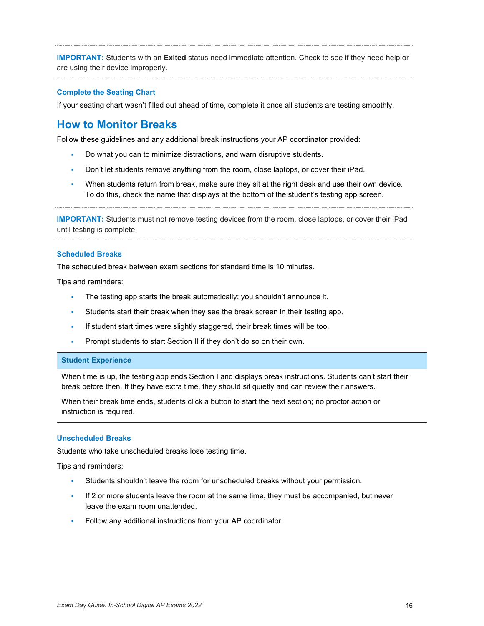**IMPORTANT:** Students with an **Exited** status need immediate attention. Check to see if they need help or are using their device improperly.

#### **Complete the Seating Chart**

If your seating chart wasn't filled out ahead of time, complete it once all students are testing smoothly.

### **How to Monitor Breaks**

Follow these guidelines and any additional break instructions your AP coordinator provided:

- Do what you can to minimize distractions, and warn disruptive students.
- Don't let students remove anything from the room, close laptops, or cover their iPad.
- When students return from break, make sure they sit at the right desk and use their own device. To do this, check the name that displays at the bottom of the student's testing app screen.

**IMPORTANT:** Students must not remove testing devices from the room, close laptops, or cover their iPad until testing is complete.

#### **Scheduled Breaks**

The scheduled break between exam sections for standard time is 10 minutes.

Tips and reminders:

- The testing app starts the break automatically; you shouldn't announce it.
- Students start their break when they see the break screen in their testing app.
- If student start times were slightly staggered, their break times will be too.
- **Prompt students to start Section II if they don't do so on their own.**

#### **Student Experience**

When time is up, the testing app ends Section I and displays break instructions. Students can't start their break before then. If they have extra time, they should sit quietly and can review their answers.

When their break time ends, students click a button to start the next section; no proctor action or instruction is required.

#### **Unscheduled Breaks**

Students who take unscheduled breaks lose testing time.

Tips and reminders:

- Students shouldn't leave the room for unscheduled breaks without your permission.
- If 2 or more students leave the room at the same time, they must be accompanied, but never leave the exam room unattended.
- Follow any additional instructions from your AP coordinator.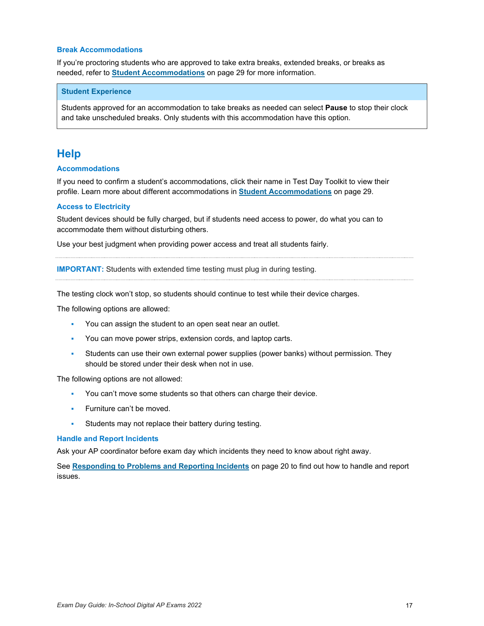#### **Break Accommodations**

If you're proctoring students who are approved to take extra breaks, extended breaks, or breaks as needed, refer to **[Student Accommodations](#page-28-0)** on page 29 for more information.

#### **Student Experience**

Students approved for an accommodation to take breaks as needed can select **Pause** to stop their clock and take unscheduled breaks. Only students with this accommodation have this option.

### <span id="page-16-0"></span>**Help**

### **Accommodations**

If you need to confirm a student's accommodations, click their name in Test Day Toolkit to view their profile. Learn more about different accommodations in **[Student Accommodations](#page-28-0)** on page 29.

#### **Access to Electricity**

Student devices should be fully charged, but if students need access to power, do what you can to accommodate them without disturbing others.

Use your best judgment when providing power access and treat all students fairly.

**IMPORTANT:** Students with extended time testing must plug in during testing.

The testing clock won't stop, so students should continue to test while their device charges.

The following options are allowed:

- You can assign the student to an open seat near an outlet.
- You can move power strips, extension cords, and laptop carts.
- Students can use their own external power supplies (power banks) without permission. They should be stored under their desk when not in use.

The following options are not allowed:

- You can't move some students so that others can charge their device.
- Furniture can't be moved.
- **Students may not replace their battery during testing.**

#### **Handle and Report Incidents**

Ask your AP coordinator before exam day which incidents they need to know about right away.

See **[Responding to Problems and Reporting Incidents](#page-19-0)** on page 20 to find out how to handle and report issues.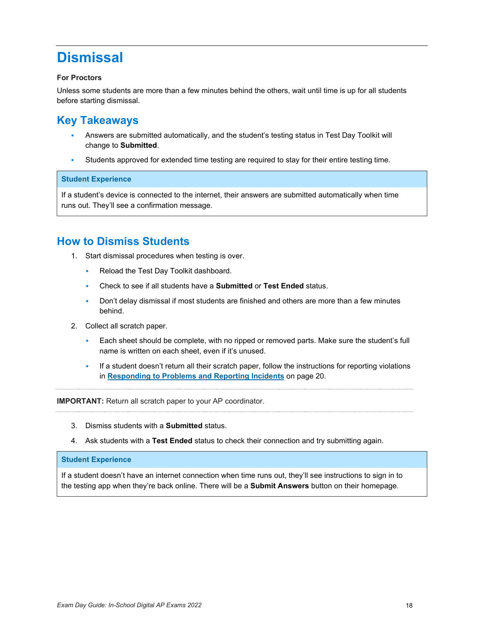# <span id="page-17-0"></span>**Dismissal**

### **For Proctors**

Unless some students are more than a few minutes behind the others, wait until time is up for all students before starting dismissal.

### **Key Takeaways**

- Answers are submitted automatically, and the student's testing status in Test Day Toolkit will change to **Submitted**.
- Students approved for extended time testing are required to stay for their entire testing time.

### **Student Experience**

If a student's device is connected to the internet, their answers are submitted automatically when time runs out. They'll see a confirmation message.

### **How to Dismiss Students**

- 1. Start dismissal procedures when testing is over.
	- Reload the Test Day Toolkit dashboard.
	- Check to see if all students have a **Submitted** or **Test Ended** status.
	- Don't delay dismissal if most students are finished and others are more than a few minutes behind.
- 2. Collect all scratch paper.
	- Each sheet should be complete, with no ripped or removed parts. Make sure the student's full name is written on each sheet, even if it's unused.
	- If a student doesn't return all their scratch paper, follow the instructions for reporting violations in **[Responding to Problems and Reporting Incidents](#page-19-0)** on page 20.

**IMPORTANT:** Return all scratch paper to your AP coordinator.

- 3. Dismiss students with a **Submitted** status.
- 4. Ask students with a **Test Ended** status to check their connection and try submitting again.

### **Student Experience**

If a student doesn't have an internet connection when time runs out, they'll see instructions to sign in to the testing app when they're back online. There will be a **Submit Answers** button on their homepage.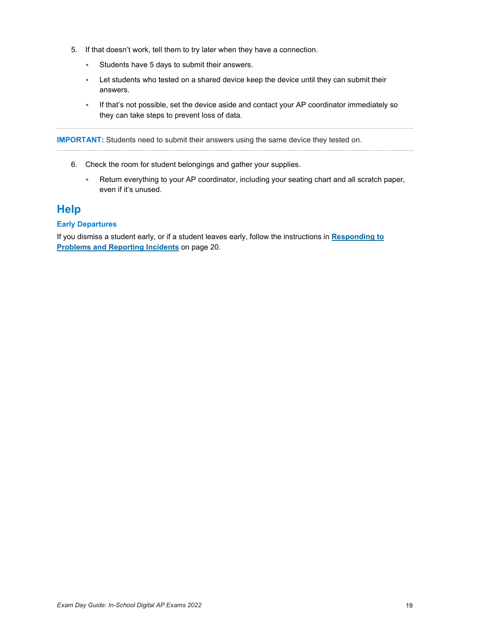- 5. If that doesn't work, tell them to try later when they have a connection.
	- Students have 5 days to submit their answers.
	- Let students who tested on a shared device keep the device until they can submit their answers.
	- If that's not possible, set the device aside and contact your AP coordinator immediately so they can take steps to prevent loss of data.

**IMPORTANT:** Students need to submit their answers using the same device they tested on.

- 6. Check the room for student belongings and gather your supplies.
	- Return everything to your AP coordinator, including your seating chart and all scratch paper, even if it's unused.

### **Help**

### **Early Departures**

If you dismiss a student early, or if a student leaves early, follow the instructions in **[Responding to](#page-19-0)  [Problems and Reporting Incidents](#page-19-0)** on page 20.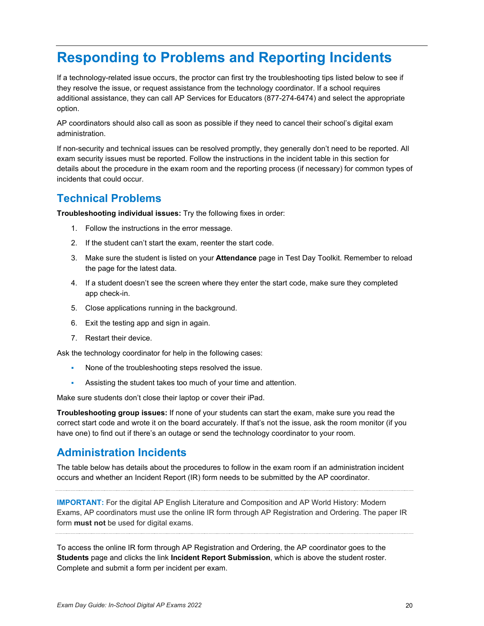# <span id="page-19-0"></span>**Responding to Problems and Reporting Incidents**

If a technology-related issue occurs, the proctor can first try the troubleshooting tips listed below to see if they resolve the issue, or request assistance from the technology coordinator. If a school requires additional assistance, they can call AP Services for Educators (877-274-6474) and select the appropriate option.

AP coordinators should also call as soon as possible if they need to cancel their school's digital exam administration.

If non-security and technical issues can be resolved promptly, they generally don't need to be reported. All exam security issues must be reported. Follow the instructions in the incident table in this section for details about the procedure in the exam room and the reporting process (if necessary) for common types of incidents that could occur.

### **Technical Problems**

**Troubleshooting individual issues:** Try the following fixes in order:

- 1. Follow the instructions in the error message.
- 2. If the student can't start the exam, reenter the start code.
- 3. Make sure the student is listed on your **Attendance** page in Test Day Toolkit. Remember to reload the page for the latest data.
- 4. If a student doesn't see the screen where they enter the start code, make sure they completed app check-in.
- 5. Close applications running in the background.
- 6. Exit the testing app and sign in again.
- 7. Restart their device.

Ask the technology coordinator for help in the following cases:

- None of the troubleshooting steps resolved the issue.
- Assisting the student takes too much of your time and attention.

Make sure students don't close their laptop or cover their iPad.

**Troubleshooting group issues:** If none of your students can start the exam, make sure you read the correct start code and wrote it on the board accurately. If that's not the issue, ask the room monitor (if you have one) to find out if there's an outage or send the technology coordinator to your room.

### **Administration Incidents**

The table below has details about the procedures to follow in the exam room if an administration incident occurs and whether an Incident Report (IR) form needs to be submitted by the AP coordinator.

**IMPORTANT:** For the digital AP English Literature and Composition and AP World History: Modern Exams, AP coordinators must use the online IR form through AP Registration and Ordering. The paper IR form **must not** be used for digital exams.

To access the online IR form through AP Registration and Ordering, the AP coordinator goes to the **Students** page and clicks the link **Incident Report Submission**, which is above the student roster. Complete and submit a form per incident per exam.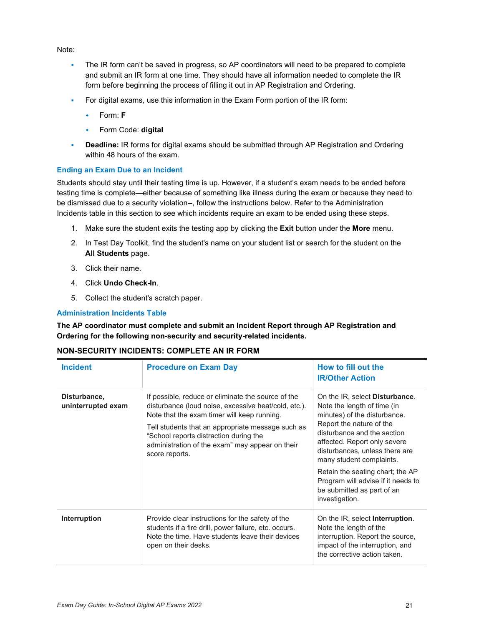### Note:

- The IR form can't be saved in progress, so AP coordinators will need to be prepared to complete and submit an IR form at one time. They should have all information needed to complete the IR form before beginning the process of filling it out in AP Registration and Ordering.
- For digital exams, use this information in the Exam Form portion of the IR form:
	- Form: **F**
	- Form Code: **digital**
- **Deadline:** IR forms for digital exams should be submitted through AP Registration and Ordering within 48 hours of the exam.

### **Ending an Exam Due to an Incident**

Students should stay until their testing time is up. However, if a student's exam needs to be ended before testing time is complete—either because of something like illness during the exam or because they need to be dismissed due to a security violation--, follow the instructions below. Refer to the Administration Incidents table in this section to see which incidents require an exam to be ended using these steps.

- 1. Make sure the student exits the testing app by clicking the **Exit** button under the **More** menu.
- 2. In Test Day Toolkit, find the student's name on your student list or search for the student on the **All Students** page.
- 3. Click their name.
- 4. Click **Undo Check-In**.
- 5. Collect the student's scratch paper.

### **Administration Incidents Table**

**The AP coordinator must complete and submit an Incident Report through AP Registration and Ordering for the following non-security and security-related incidents.** 

### **NON-SECURITY INCIDENTS: COMPLETE AN IR FORM**

| <b>Incident</b>                    | <b>Procedure on Exam Day</b>                                                                                                                                                                                                                                                                                                  | How to fill out the<br><b>IR/Other Action</b>                                                                                                                                                                                                                                                                                                                                            |
|------------------------------------|-------------------------------------------------------------------------------------------------------------------------------------------------------------------------------------------------------------------------------------------------------------------------------------------------------------------------------|------------------------------------------------------------------------------------------------------------------------------------------------------------------------------------------------------------------------------------------------------------------------------------------------------------------------------------------------------------------------------------------|
| Disturbance,<br>uninterrupted exam | If possible, reduce or eliminate the source of the<br>disturbance (loud noise, excessive heat/cold, etc.).<br>Note that the exam timer will keep running.<br>Tell students that an appropriate message such as<br>"School reports distraction during the<br>administration of the exam" may appear on their<br>score reports. | On the IR, select <b>Disturbance</b> .<br>Note the length of time (in<br>minutes) of the disturbance.<br>Report the nature of the<br>disturbance and the section<br>affected. Report only severe<br>disturbances, unless there are<br>many student complaints.<br>Retain the seating chart; the AP<br>Program will advise if it needs to<br>be submitted as part of an<br>investigation. |
| Interruption                       | Provide clear instructions for the safety of the<br>students if a fire drill, power failure, etc. occurs.<br>Note the time. Have students leave their devices<br>open on their desks.                                                                                                                                         | On the IR, select Interruption.<br>Note the length of the<br>interruption. Report the source,<br>impact of the interruption, and<br>the corrective action taken.                                                                                                                                                                                                                         |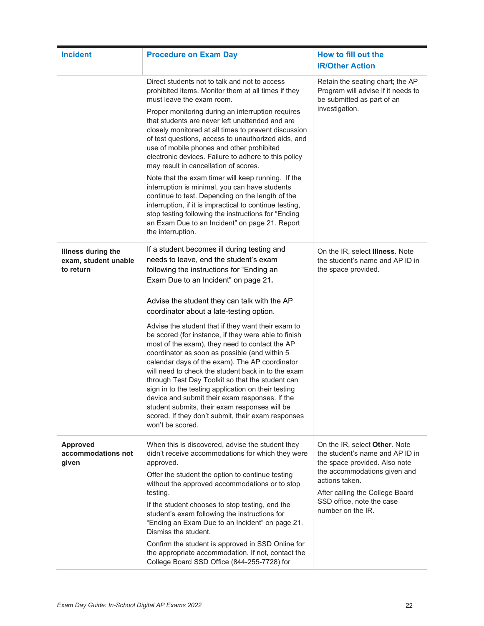| <b>Incident</b>                                                | <b>Procedure on Exam Day</b>                                                                                                                                                                                                                                                                                                                                                                                                                                                                                                                                                                                  | How to fill out the<br><b>IR/Other Action</b>                                                                                     |
|----------------------------------------------------------------|---------------------------------------------------------------------------------------------------------------------------------------------------------------------------------------------------------------------------------------------------------------------------------------------------------------------------------------------------------------------------------------------------------------------------------------------------------------------------------------------------------------------------------------------------------------------------------------------------------------|-----------------------------------------------------------------------------------------------------------------------------------|
|                                                                | Direct students not to talk and not to access<br>prohibited items. Monitor them at all times if they<br>must leave the exam room.                                                                                                                                                                                                                                                                                                                                                                                                                                                                             | Retain the seating chart; the AP<br>Program will advise if it needs to<br>be submitted as part of an                              |
|                                                                | Proper monitoring during an interruption requires<br>that students are never left unattended and are<br>closely monitored at all times to prevent discussion<br>of test questions, access to unauthorized aids, and<br>use of mobile phones and other prohibited<br>electronic devices. Failure to adhere to this policy<br>may result in cancellation of scores.                                                                                                                                                                                                                                             | investigation.                                                                                                                    |
|                                                                | Note that the exam timer will keep running. If the<br>interruption is minimal, you can have students<br>continue to test. Depending on the length of the<br>interruption, if it is impractical to continue testing,<br>stop testing following the instructions for "Ending<br>an Exam Due to an Incident" on page 21. Report<br>the interruption.                                                                                                                                                                                                                                                             |                                                                                                                                   |
| <b>Illness during the</b><br>exam, student unable<br>to return | If a student becomes ill during testing and<br>needs to leave, end the student's exam<br>following the instructions for "Ending an<br>Exam Due to an Incident" on page 21.                                                                                                                                                                                                                                                                                                                                                                                                                                    | On the IR, select <b>Illness</b> . Note<br>the student's name and AP ID in<br>the space provided.                                 |
|                                                                | Advise the student they can talk with the AP<br>coordinator about a late-testing option.                                                                                                                                                                                                                                                                                                                                                                                                                                                                                                                      |                                                                                                                                   |
|                                                                | Advise the student that if they want their exam to<br>be scored (for instance, if they were able to finish<br>most of the exam), they need to contact the AP<br>coordinator as soon as possible (and within 5<br>calendar days of the exam). The AP coordinator<br>will need to check the student back in to the exam<br>through Test Day Toolkit so that the student can<br>sign in to the testing application on their testing<br>device and submit their exam responses. If the<br>student submits, their exam responses will be<br>scored. If they don't submit, their exam responses<br>won't be scored. |                                                                                                                                   |
| <b>Approved</b><br>accommodations not<br>given                 | When this is discovered, advise the student they<br>didn't receive accommodations for which they were<br>approved.                                                                                                                                                                                                                                                                                                                                                                                                                                                                                            | On the IR, select Other. Note<br>the student's name and AP ID in<br>the space provided. Also note<br>the accommodations given and |
|                                                                | Offer the student the option to continue testing<br>without the approved accommodations or to stop<br>testing.                                                                                                                                                                                                                                                                                                                                                                                                                                                                                                | actions taken.<br>After calling the College Board                                                                                 |
|                                                                | If the student chooses to stop testing, end the<br>student's exam following the instructions for<br>"Ending an Exam Due to an Incident" on page 21.<br>Dismiss the student.                                                                                                                                                                                                                                                                                                                                                                                                                                   | SSD office, note the case<br>number on the IR.                                                                                    |
|                                                                | Confirm the student is approved in SSD Online for<br>the appropriate accommodation. If not, contact the<br>College Board SSD Office (844-255-7728) for                                                                                                                                                                                                                                                                                                                                                                                                                                                        |                                                                                                                                   |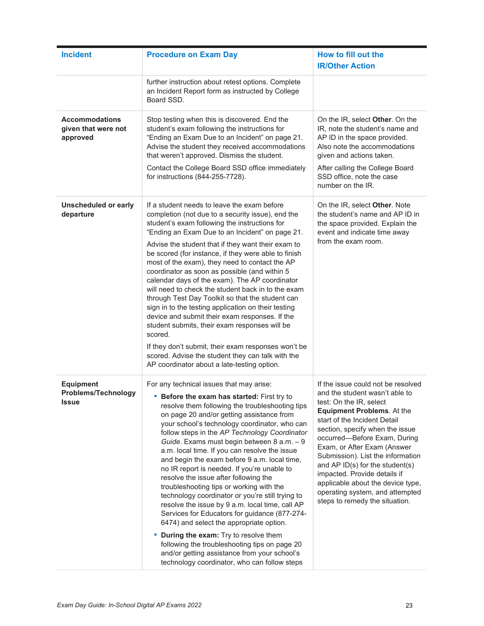| <b>Incident</b>                                                | <b>Procedure on Exam Day</b>                                                                                                                                                                                                                                                                                                                                                                                                                                                                                                                                                                                                                                                                                                                                                                                                                                                                                                                                                     | How to fill out the<br><b>IR/Other Action</b>                                                                                                                                                                                                                                                                                                                                                                                                                                            |
|----------------------------------------------------------------|----------------------------------------------------------------------------------------------------------------------------------------------------------------------------------------------------------------------------------------------------------------------------------------------------------------------------------------------------------------------------------------------------------------------------------------------------------------------------------------------------------------------------------------------------------------------------------------------------------------------------------------------------------------------------------------------------------------------------------------------------------------------------------------------------------------------------------------------------------------------------------------------------------------------------------------------------------------------------------|------------------------------------------------------------------------------------------------------------------------------------------------------------------------------------------------------------------------------------------------------------------------------------------------------------------------------------------------------------------------------------------------------------------------------------------------------------------------------------------|
|                                                                | further instruction about retest options. Complete<br>an Incident Report form as instructed by College<br>Board SSD.                                                                                                                                                                                                                                                                                                                                                                                                                                                                                                                                                                                                                                                                                                                                                                                                                                                             |                                                                                                                                                                                                                                                                                                                                                                                                                                                                                          |
| <b>Accommodations</b><br>given that were not<br>approved       | Stop testing when this is discovered. End the<br>student's exam following the instructions for<br>"Ending an Exam Due to an Incident" on page 21.<br>Advise the student they received accommodations<br>that weren't approved. Dismiss the student.<br>Contact the College Board SSD office immediately<br>for instructions (844-255-7728).                                                                                                                                                                                                                                                                                                                                                                                                                                                                                                                                                                                                                                      | On the IR, select <b>Other</b> . On the<br>IR, note the student's name and<br>AP ID in the space provided.<br>Also note the accommodations<br>given and actions taken.<br>After calling the College Board<br>SSD office, note the case<br>number on the IR.                                                                                                                                                                                                                              |
| Unscheduled or early<br>departure                              | If a student needs to leave the exam before<br>completion (not due to a security issue), end the<br>student's exam following the instructions for<br>"Ending an Exam Due to an Incident" on page 21.<br>Advise the student that if they want their exam to<br>be scored (for instance, if they were able to finish<br>most of the exam), they need to contact the AP<br>coordinator as soon as possible (and within 5<br>calendar days of the exam). The AP coordinator<br>will need to check the student back in to the exam<br>through Test Day Toolkit so that the student can<br>sign in to the testing application on their testing<br>device and submit their exam responses. If the<br>student submits, their exam responses will be<br>scored.<br>If they don't submit, their exam responses won't be<br>scored. Advise the student they can talk with the<br>AP coordinator about a late-testing option.                                                                | On the IR, select Other. Note<br>the student's name and AP ID in<br>the space provided. Explain the<br>event and indicate time away<br>from the exam room.                                                                                                                                                                                                                                                                                                                               |
| <b>Equipment</b><br><b>Problems/Technology</b><br><b>Issue</b> | For any technical issues that may arise:<br>" Before the exam has started: First try to<br>resolve them following the troubleshooting tips<br>on page 20 and/or getting assistance from<br>your school's technology coordinator, who can<br>follow steps in the AP Technology Coordinator<br>Guide. Exams must begin between 8 a.m. - 9<br>a.m. local time. If you can resolve the issue<br>and begin the exam before 9 a.m. local time,<br>no IR report is needed. If you're unable to<br>resolve the issue after following the<br>troubleshooting tips or working with the<br>technology coordinator or you're still trying to<br>resolve the issue by 9 a.m. local time, call AP<br>Services for Educators for guidance (877-274-<br>6474) and select the appropriate option.<br><b>During the exam:</b> Try to resolve them<br>following the troubleshooting tips on page 20<br>and/or getting assistance from your school's<br>technology coordinator, who can follow steps | If the issue could not be resolved<br>and the student wasn't able to<br>test: On the IR, select<br><b>Equipment Problems. At the</b><br>start of the Incident Detail<br>section, specify when the issue<br>occurred-Before Exam, During<br>Exam, or After Exam (Answer<br>Submission). List the information<br>and AP ID(s) for the student(s)<br>impacted. Provide details if<br>applicable about the device type,<br>operating system, and attempted<br>steps to remedy the situation. |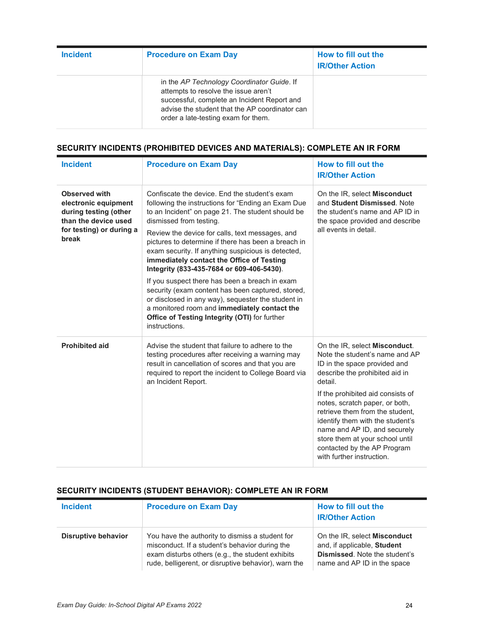| <b>Incident</b> | <b>Procedure on Exam Day</b>                                                                                                                                                                                               | How to fill out the<br><b>IR/Other Action</b> |
|-----------------|----------------------------------------------------------------------------------------------------------------------------------------------------------------------------------------------------------------------------|-----------------------------------------------|
|                 | in the AP Technology Coordinator Guide. If<br>attempts to resolve the issue aren't<br>successful, complete an Incident Report and<br>advise the student that the AP coordinator can<br>order a late-testing exam for them. |                                               |

### **SECURITY INCIDENTS (PROHIBITED DEVICES AND MATERIALS): COMPLETE AN IR FORM**

| <b>Incident</b>                                                                                                             | <b>Procedure on Exam Day</b>                                                                                                                                                                                                                                                                                                                                                                                                                                                                                                                                                                               | How to fill out the<br><b>IR/Other Action</b>                                                                                                                                                                                                                                                                                                                                                                             |
|-----------------------------------------------------------------------------------------------------------------------------|------------------------------------------------------------------------------------------------------------------------------------------------------------------------------------------------------------------------------------------------------------------------------------------------------------------------------------------------------------------------------------------------------------------------------------------------------------------------------------------------------------------------------------------------------------------------------------------------------------|---------------------------------------------------------------------------------------------------------------------------------------------------------------------------------------------------------------------------------------------------------------------------------------------------------------------------------------------------------------------------------------------------------------------------|
| Observed with<br>electronic equipment<br>during testing (other<br>than the device used<br>for testing) or during a<br>break | Confiscate the device. End the student's exam<br>following the instructions for "Ending an Exam Due<br>to an Incident" on page 21. The student should be<br>dismissed from testing.<br>Review the device for calls, text messages, and<br>pictures to determine if there has been a breach in<br>exam security. If anything suspicious is detected,<br>immediately contact the Office of Testing<br>Integrity (833-435-7684 or 609-406-5430).<br>If you suspect there has been a breach in exam<br>security (exam content has been captured, stored,<br>or disclosed in any way), sequester the student in | On the IR, select <b>Misconduct</b><br>and Student Dismissed. Note<br>the student's name and AP ID in<br>the space provided and describe<br>all events in detail.                                                                                                                                                                                                                                                         |
|                                                                                                                             | a monitored room and immediately contact the<br>Office of Testing Integrity (OTI) for further<br>instructions.                                                                                                                                                                                                                                                                                                                                                                                                                                                                                             |                                                                                                                                                                                                                                                                                                                                                                                                                           |
| <b>Prohibited aid</b>                                                                                                       | Advise the student that failure to adhere to the<br>testing procedures after receiving a warning may<br>result in cancellation of scores and that you are<br>required to report the incident to College Board via<br>an Incident Report.                                                                                                                                                                                                                                                                                                                                                                   | On the IR, select Misconduct.<br>Note the student's name and AP<br>ID in the space provided and<br>describe the prohibited aid in<br>detail.<br>If the prohibited aid consists of<br>notes, scratch paper, or both,<br>retrieve them from the student,<br>identify them with the student's<br>name and AP ID, and securely<br>store them at your school until<br>contacted by the AP Program<br>with further instruction. |

### **SECURITY INCIDENTS (STUDENT BEHAVIOR): COMPLETE AN IR FORM**

| <b>Incident</b>     | <b>Procedure on Exam Day</b>                                                                                                                                                                                  | How to fill out the<br><b>IR/Other Action</b>                                                                                             |
|---------------------|---------------------------------------------------------------------------------------------------------------------------------------------------------------------------------------------------------------|-------------------------------------------------------------------------------------------------------------------------------------------|
| Disruptive behavior | You have the authority to dismiss a student for<br>misconduct. If a student's behavior during the<br>exam disturbs others (e.g., the student exhibits<br>rude, belligerent, or disruptive behavior), warn the | On the IR, select <b>Misconduct</b><br>and, if applicable, Student<br><b>Dismissed.</b> Note the student's<br>name and AP ID in the space |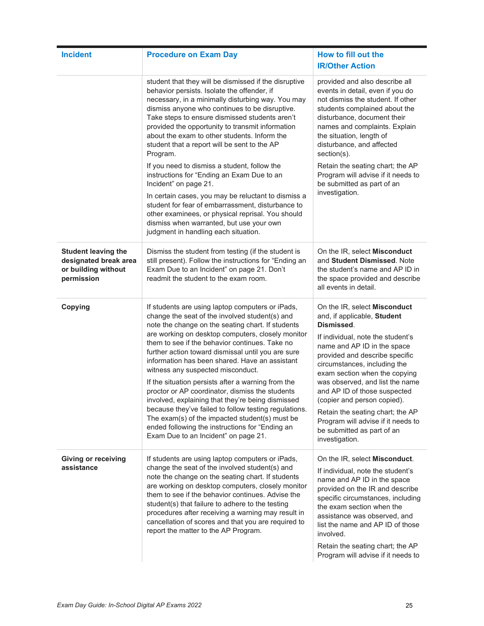| <b>Incident</b>                                                                          | <b>Procedure on Exam Day</b>                                                                                                                                                                                                                                                                                                                                                                                                                                                                                                                                                                                                                                                                                                                                                    | How to fill out the<br><b>IR/Other Action</b>                                                                                                                                                                                                                                                                                                                                                                                                                                |
|------------------------------------------------------------------------------------------|---------------------------------------------------------------------------------------------------------------------------------------------------------------------------------------------------------------------------------------------------------------------------------------------------------------------------------------------------------------------------------------------------------------------------------------------------------------------------------------------------------------------------------------------------------------------------------------------------------------------------------------------------------------------------------------------------------------------------------------------------------------------------------|------------------------------------------------------------------------------------------------------------------------------------------------------------------------------------------------------------------------------------------------------------------------------------------------------------------------------------------------------------------------------------------------------------------------------------------------------------------------------|
|                                                                                          | student that they will be dismissed if the disruptive<br>behavior persists. Isolate the offender, if<br>necessary, in a minimally disturbing way. You may<br>dismiss anyone who continues to be disruptive.<br>Take steps to ensure dismissed students aren't<br>provided the opportunity to transmit information<br>about the exam to other students. Inform the<br>student that a report will be sent to the AP<br>Program.<br>If you need to dismiss a student, follow the                                                                                                                                                                                                                                                                                                   | provided and also describe all<br>events in detail, even if you do<br>not dismiss the student. If other<br>students complained about the<br>disturbance, document their<br>names and complaints. Explain<br>the situation, length of<br>disturbance, and affected<br>$section(s)$ .<br>Retain the seating chart; the AP                                                                                                                                                      |
|                                                                                          | instructions for "Ending an Exam Due to an<br>Incident" on page 21.<br>In certain cases, you may be reluctant to dismiss a<br>student for fear of embarrassment, disturbance to<br>other examinees, or physical reprisal. You should<br>dismiss when warranted, but use your own<br>judgment in handling each situation.                                                                                                                                                                                                                                                                                                                                                                                                                                                        | Program will advise if it needs to<br>be submitted as part of an<br>investigation.                                                                                                                                                                                                                                                                                                                                                                                           |
| <b>Student leaving the</b><br>designated break area<br>or building without<br>permission | Dismiss the student from testing (if the student is<br>still present). Follow the instructions for "Ending an<br>Exam Due to an Incident" on page 21. Don't<br>readmit the student to the exam room.                                                                                                                                                                                                                                                                                                                                                                                                                                                                                                                                                                            | On the IR, select Misconduct<br>and Student Dismissed. Note<br>the student's name and AP ID in<br>the space provided and describe<br>all events in detail.                                                                                                                                                                                                                                                                                                                   |
| Copying                                                                                  | If students are using laptop computers or iPads,<br>change the seat of the involved student(s) and<br>note the change on the seating chart. If students<br>are working on desktop computers, closely monitor<br>them to see if the behavior continues. Take no<br>further action toward dismissal until you are sure<br>information has been shared. Have an assistant<br>witness any suspected misconduct.<br>If the situation persists after a warning from the<br>proctor or AP coordinator, dismiss the students<br>involved, explaining that they're being dismissed<br>because they've failed to follow testing regulations.<br>The exam(s) of the impacted student(s) must be<br>ended following the instructions for "Ending an<br>Exam Due to an Incident" on page 21. | On the IR, select Misconduct<br>and, if applicable, Student<br>Dismissed.<br>If individual, note the student's<br>name and AP ID in the space<br>provided and describe specific<br>circumstances, including the<br>exam section when the copying<br>was observed, and list the name<br>and AP ID of those suspected<br>(copier and person copied).<br>Retain the seating chart; the AP<br>Program will advise if it needs to<br>be submitted as part of an<br>investigation. |
| <b>Giving or receiving</b><br>assistance                                                 | If students are using laptop computers or iPads,<br>change the seat of the involved student(s) and<br>note the change on the seating chart. If students<br>are working on desktop computers, closely monitor<br>them to see if the behavior continues. Advise the<br>student(s) that failure to adhere to the testing<br>procedures after receiving a warning may result in<br>cancellation of scores and that you are required to<br>report the matter to the AP Program.                                                                                                                                                                                                                                                                                                      | On the IR, select Misconduct.<br>If individual, note the student's<br>name and AP ID in the space<br>provided on the IR and describe<br>specific circumstances, including<br>the exam section when the<br>assistance was observed, and<br>list the name and AP ID of those<br>involved.<br>Retain the seating chart; the AP<br>Program will advise if it needs to                                                                                                            |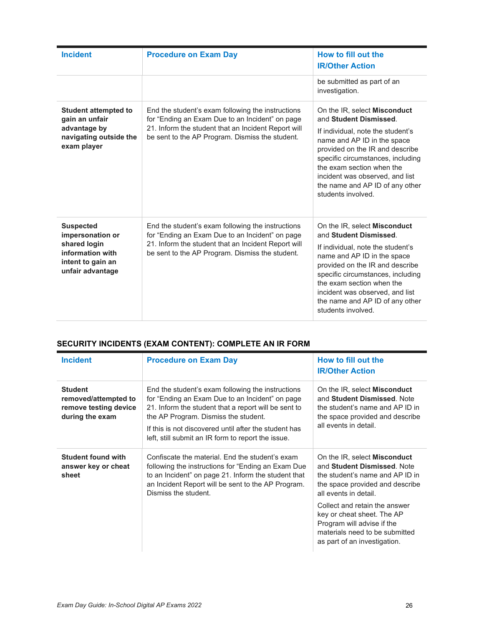| <b>Incident</b>                                                                                                   | <b>Procedure on Exam Day</b>                                                                                                                                                                                   | How to fill out the<br><b>IR/Other Action</b>                                                                                                                                                                                                                                                                                      |
|-------------------------------------------------------------------------------------------------------------------|----------------------------------------------------------------------------------------------------------------------------------------------------------------------------------------------------------------|------------------------------------------------------------------------------------------------------------------------------------------------------------------------------------------------------------------------------------------------------------------------------------------------------------------------------------|
|                                                                                                                   |                                                                                                                                                                                                                | be submitted as part of an<br>investigation.                                                                                                                                                                                                                                                                                       |
| <b>Student attempted to</b><br>gain an unfair<br>advantage by<br>navigating outside the<br>exam player            | End the student's exam following the instructions<br>for "Ending an Exam Due to an Incident" on page<br>21. Inform the student that an Incident Report will<br>be sent to the AP Program. Dismiss the student. | On the IR, select Misconduct<br>and Student Dismissed.<br>If individual, note the student's<br>name and AP ID in the space<br>provided on the IR and describe<br>specific circumstances, including<br>the exam section when the<br>incident was observed, and list<br>the name and AP ID of any other<br>students involved.        |
| <b>Suspected</b><br>impersonation or<br>shared login<br>information with<br>intent to gain an<br>unfair advantage | End the student's exam following the instructions<br>for "Ending an Exam Due to an Incident" on page<br>21. Inform the student that an Incident Report will<br>be sent to the AP Program. Dismiss the student. | On the IR, select <b>Misconduct</b><br>and Student Dismissed.<br>If individual, note the student's<br>name and AP ID in the space<br>provided on the IR and describe<br>specific circumstances, including<br>the exam section when the<br>incident was observed, and list<br>the name and AP ID of any other<br>students involved. |

### **SECURITY INCIDENTS (EXAM CONTENT): COMPLETE AN IR FORM**

| <b>Incident</b>                                                                    | <b>Procedure on Exam Day</b>                                                                                                                                                                                                                                                                                        | How to fill out the<br><b>IR/Other Action</b>                                                                                                                                                                                                                                                                                    |
|------------------------------------------------------------------------------------|---------------------------------------------------------------------------------------------------------------------------------------------------------------------------------------------------------------------------------------------------------------------------------------------------------------------|----------------------------------------------------------------------------------------------------------------------------------------------------------------------------------------------------------------------------------------------------------------------------------------------------------------------------------|
| <b>Student</b><br>removed/attempted to<br>remove testing device<br>during the exam | End the student's exam following the instructions<br>for "Ending an Exam Due to an Incident" on page<br>21. Inform the student that a report will be sent to<br>the AP Program. Dismiss the student.<br>If this is not discovered until after the student has<br>left, still submit an IR form to report the issue. | On the IR, select <b>Misconduct</b><br>and Student Dismissed. Note<br>the student's name and AP ID in<br>the space provided and describe<br>all events in detail.                                                                                                                                                                |
| <b>Student found with</b><br>answer key or cheat<br>sheet                          | Confiscate the material. End the student's exam<br>following the instructions for "Ending an Exam Due<br>to an Incident" on page 21. Inform the student that<br>an Incident Report will be sent to the AP Program.<br>Dismiss the student.                                                                          | On the IR, select <b>Misconduct</b><br>and Student Dismissed. Note<br>the student's name and AP ID in<br>the space provided and describe<br>all events in detail.<br>Collect and retain the answer<br>key or cheat sheet. The AP<br>Program will advise if the<br>materials need to be submitted<br>as part of an investigation. |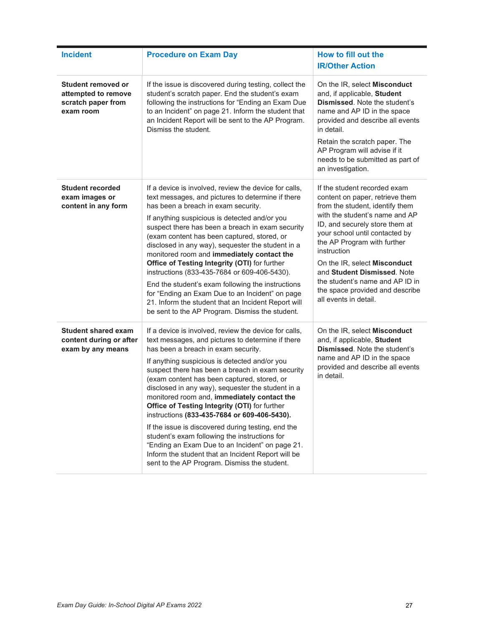| <b>Incident</b>                                                              | <b>Procedure on Exam Day</b>                                                                                                                                                                                                                                                                                                                                                                                                                                                                                                                                                                                                                                                                                                                                               | How to fill out the<br><b>IR/Other Action</b>                                                                                                                                                                                                                                                                                                                                                                        |
|------------------------------------------------------------------------------|----------------------------------------------------------------------------------------------------------------------------------------------------------------------------------------------------------------------------------------------------------------------------------------------------------------------------------------------------------------------------------------------------------------------------------------------------------------------------------------------------------------------------------------------------------------------------------------------------------------------------------------------------------------------------------------------------------------------------------------------------------------------------|----------------------------------------------------------------------------------------------------------------------------------------------------------------------------------------------------------------------------------------------------------------------------------------------------------------------------------------------------------------------------------------------------------------------|
| Student removed or<br>attempted to remove<br>scratch paper from<br>exam room | If the issue is discovered during testing, collect the<br>student's scratch paper. End the student's exam<br>following the instructions for "Ending an Exam Due<br>to an Incident" on page 21. Inform the student that<br>an Incident Report will be sent to the AP Program.<br>Dismiss the student.                                                                                                                                                                                                                                                                                                                                                                                                                                                                       | On the IR, select Misconduct<br>and, if applicable, Student<br><b>Dismissed.</b> Note the student's<br>name and AP ID in the space<br>provided and describe all events<br>in detail.<br>Retain the scratch paper. The<br>AP Program will advise if it<br>needs to be submitted as part of<br>an investigation.                                                                                                       |
| <b>Student recorded</b><br>exam images or<br>content in any form             | If a device is involved, review the device for calls,<br>text messages, and pictures to determine if there<br>has been a breach in exam security.<br>If anything suspicious is detected and/or you<br>suspect there has been a breach in exam security<br>(exam content has been captured, stored, or<br>disclosed in any way), sequester the student in a<br>monitored room and immediately contact the<br>Office of Testing Integrity (OTI) for further<br>instructions (833-435-7684 or 609-406-5430).<br>End the student's exam following the instructions<br>for "Ending an Exam Due to an Incident" on page<br>21. Inform the student that an Incident Report will<br>be sent to the AP Program. Dismiss the student.                                                | If the student recorded exam<br>content on paper, retrieve them<br>from the student, identify them<br>with the student's name and AP<br>ID, and securely store them at<br>your school until contacted by<br>the AP Program with further<br>instruction<br>On the IR, select Misconduct<br>and Student Dismissed. Note<br>the student's name and AP ID in<br>the space provided and describe<br>all events in detail. |
| <b>Student shared exam</b><br>content during or after<br>exam by any means   | If a device is involved, review the device for calls,<br>text messages, and pictures to determine if there<br>has been a breach in exam security.<br>If anything suspicious is detected and/or you<br>suspect there has been a breach in exam security<br>(exam content has been captured, stored, or<br>disclosed in any way), sequester the student in a<br>monitored room and, immediately contact the<br>Office of Testing Integrity (OTI) for further<br>instructions (833-435-7684 or 609-406-5430).<br>If the issue is discovered during testing, end the<br>student's exam following the instructions for<br>"Ending an Exam Due to an Incident" on page 21.<br>Inform the student that an Incident Report will be<br>sent to the AP Program. Dismiss the student. | On the IR, select Misconduct<br>and, if applicable, Student<br>Dismissed. Note the student's<br>name and AP ID in the space<br>provided and describe all events<br>in detail.                                                                                                                                                                                                                                        |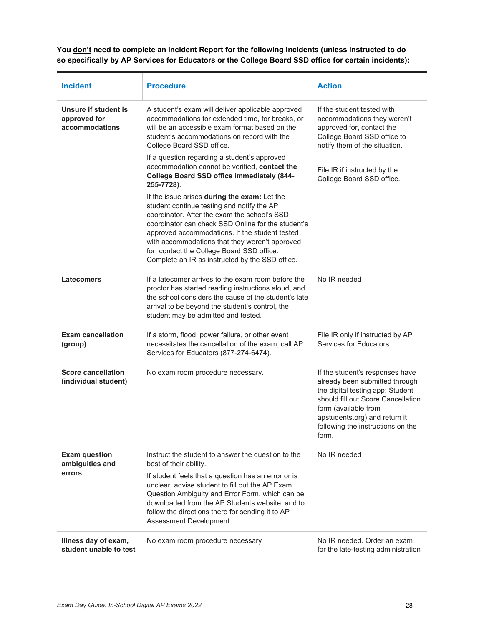**You don't need to complete an Incident Report for the following incidents (unless instructed to do so specifically by AP Services for Educators or the College Board SSD office for certain incidents):**

| <b>Incident</b>                                        | <b>Procedure</b>                                                                                                                                                                                                                                                                                                                                                                                      | <b>Action</b>                                                                                                                                                                                                                                      |
|--------------------------------------------------------|-------------------------------------------------------------------------------------------------------------------------------------------------------------------------------------------------------------------------------------------------------------------------------------------------------------------------------------------------------------------------------------------------------|----------------------------------------------------------------------------------------------------------------------------------------------------------------------------------------------------------------------------------------------------|
| Unsure if student is<br>approved for<br>accommodations | A student's exam will deliver applicable approved<br>accommodations for extended time, for breaks, or<br>will be an accessible exam format based on the<br>student's accommodations on record with the<br>College Board SSD office.<br>If a question regarding a student's approved<br>accommodation cannot be verified, contact the<br>College Board SSD office immediately (844-<br>255-7728).      | If the student tested with<br>accommodations they weren't<br>approved for, contact the<br>College Board SSD office to<br>notify them of the situation.<br>File IR if instructed by the<br>College Board SSD office.                                |
|                                                        | If the issue arises during the exam: Let the<br>student continue testing and notify the AP<br>coordinator. After the exam the school's SSD<br>coordinator can check SSD Online for the student's<br>approved accommodations. If the student tested<br>with accommodations that they weren't approved<br>for, contact the College Board SSD office.<br>Complete an IR as instructed by the SSD office. |                                                                                                                                                                                                                                                    |
| <b>Latecomers</b>                                      | If a latecomer arrives to the exam room before the<br>proctor has started reading instructions aloud, and<br>the school considers the cause of the student's late<br>arrival to be beyond the student's control, the<br>student may be admitted and tested.                                                                                                                                           | No IR needed                                                                                                                                                                                                                                       |
| <b>Exam cancellation</b><br>(group)                    | If a storm, flood, power failure, or other event<br>necessitates the cancellation of the exam, call AP<br>Services for Educators (877-274-6474).                                                                                                                                                                                                                                                      | File IR only if instructed by AP<br>Services for Educators.                                                                                                                                                                                        |
| <b>Score cancellation</b><br>(individual student)      | No exam room procedure necessary.                                                                                                                                                                                                                                                                                                                                                                     | If the student's responses have<br>already been submitted through<br>the digital testing app: Student<br>should fill out Score Cancellation<br>form (available from<br>apstudents.org) and return it<br>following the instructions on the<br>form. |
| <b>Exam question</b><br>ambiguities and                | Instruct the student to answer the question to the<br>best of their ability.                                                                                                                                                                                                                                                                                                                          | No IR needed                                                                                                                                                                                                                                       |
| errors                                                 | If student feels that a question has an error or is<br>unclear, advise student to fill out the AP Exam<br>Question Ambiguity and Error Form, which can be<br>downloaded from the AP Students website, and to<br>follow the directions there for sending it to AP<br>Assessment Development.                                                                                                           |                                                                                                                                                                                                                                                    |
| Illness day of exam,<br>student unable to test         | No exam room procedure necessary                                                                                                                                                                                                                                                                                                                                                                      | No IR needed. Order an exam<br>for the late-testing administration                                                                                                                                                                                 |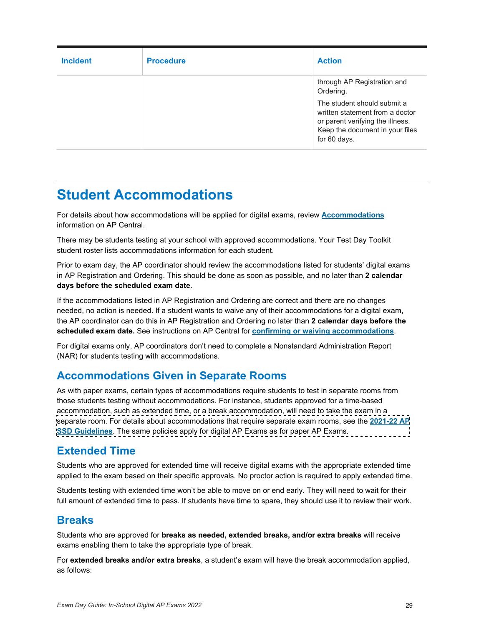| <b>Incident</b> | <b>Procedure</b> | <b>Action</b>                                                                                                                                         |
|-----------------|------------------|-------------------------------------------------------------------------------------------------------------------------------------------------------|
|                 |                  | through AP Registration and<br>Ordering.                                                                                                              |
|                 |                  | The student should submit a<br>written statement from a doctor<br>or parent verifying the illness.<br>Keep the document in your files<br>for 60 days. |

# <span id="page-28-0"></span>**Student Accommodations**

For details about how accommodations will be applied for digital exams, review **[Accommodations](https://apcentral.collegeboard.org/about-ap/digital-ap-exams/accommodations/confirming-accommodations-for-digital-ap-exams)** information on AP Central.

There may be students testing at your school with approved accommodations. Your Test Day Toolkit student roster lists accommodations information for each student.

Prior to exam day, the AP coordinator should review the accommodations listed for students' digital exams in AP Registration and Ordering. This should be done as soon as possible, and no later than **2 calendar days before the scheduled exam date**.

If the accommodations listed in AP Registration and Ordering are correct and there are no changes needed, no action is needed. If a student wants to waive any of their accommodations for a digital exam, the AP coordinator can do this in AP Registration and Ordering no later than **2 calendar days before the scheduled exam date.** See instructions on AP Central for **[confirming or waiving accommodations](https://apcentral.collegeboard.org/about-ap/digital-ap-exams/accommodations/confirming-accommodations-for-digital-ap-exams)**.

For digital exams only, AP coordinators don't need to complete a Nonstandard Administration Report (NAR) for students testing with accommodations.

### **Accommodations Given in Separate Rooms**

As with paper exams, certain types of accommodations require students to test in separate rooms from those students testing without accommodations. For instance, students approved for a time-based accommodation, such as extended time, or a break accommodation, will need to take the exam in a [separate room. For details about accommodations that require separate exam rooms, see the](https://apcentral.collegeboard.org/pdf/ap-ssd-guidelines.pdf) **2021-22 AP SSD Guidelines**. The same policies apply for digital AP Exams as for paper AP Exams.

### **Extended Time**

Students who are approved for extended time will receive digital exams with the appropriate extended time applied to the exam based on their specific approvals. No proctor action is required to apply extended time.

Students testing with extended time won't be able to move on or end early. They will need to wait for their full amount of extended time to pass. If students have time to spare, they should use it to review their work.

### **Breaks**

Students who are approved for **breaks as needed, extended breaks, and/or extra breaks** will receive exams enabling them to take the appropriate type of break.

For **extended breaks and/or extra breaks**, a student's exam will have the break accommodation applied, as follows: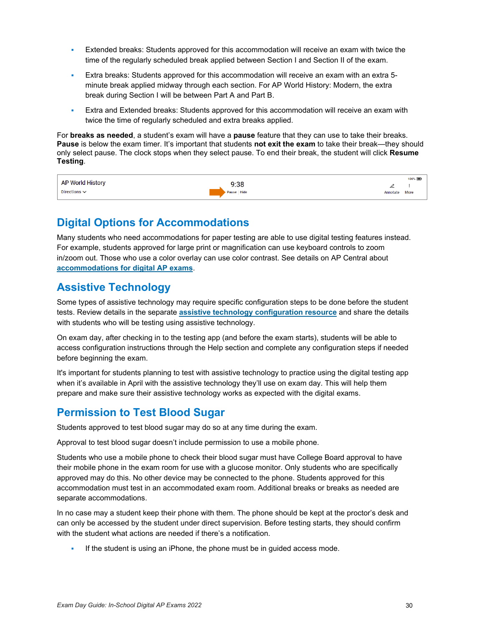- Extended breaks: Students approved for this accommodation will receive an exam with twice the time of the regularly scheduled break applied between Section I and Section II of the exam.
- Extra breaks: Students approved for this accommodation will receive an exam with an extra 5 minute break applied midway through each section. For AP World History: Modern, the extra break during Section I will be between Part A and Part B.
- Extra and Extended breaks: Students approved for this accommodation will receive an exam with twice the time of regularly scheduled and extra breaks applied.

For **breaks as needed**, a student's exam will have a **pause** feature that they can use to take their breaks. **Pause** is below the exam timer. It's important that students **not exit the exam** to take their break—they should only select pause. The clock stops when they select pause. To end their break, the student will click **Resume Testing**.

|                         |            |               | 100% |
|-------------------------|------------|---------------|------|
| <b>AP World History</b> | 9:38       | ~             |      |
| Directions $\sim$       | Pause Hide | Annotate More |      |

### **Digital Options for Accommodations**

Many students who need accommodations for paper testing are able to use digital testing features instead. For example, students approved for large print or magnification can use keyboard controls to zoom in/zoom out. Those who use a color overlay can use color contrast. See details on AP Central about **[accommodations for digital AP exams](https://apcentral.collegeboard.org/about-ap/digital-ap-exams/accommodations/confirming-accommodations-for-digital-ap-exams)**.

### **Assistive Technology**

Some types of assistive technology may require specific configuration steps to be done before the student tests. Review details in the separate **[assistive technology configuration resource](https://secure-media.collegeboard.org/apc/ap-assistive-technology-guide-digital.pdf)** and share the details with students who will be testing using assistive technology.

On exam day, after checking in to the testing app (and before the exam starts), students will be able to access configuration instructions through the Help section and complete any configuration steps if needed before beginning the exam.

It's important for students planning to test with assistive technology to practice using the digital testing app when it's available in April with the assistive technology they'll use on exam day. This will help them prepare and make sure their assistive technology works as expected with the digital exams.

### **Permission to Test Blood Sugar**

Students approved to test blood sugar may do so at any time during the exam.

Approval to test blood sugar doesn't include permission to use a mobile phone.

Students who use a mobile phone to check their blood sugar must have College Board approval to have their mobile phone in the exam room for use with a glucose monitor. Only students who are specifically approved may do this. No other device may be connected to the phone. Students approved for this accommodation must test in an accommodated exam room. Additional breaks or breaks as needed are separate accommodations.

In no case may a student keep their phone with them. The phone should be kept at the proctor's desk and can only be accessed by the student under direct supervision. Before testing starts, they should confirm with the student what actions are needed if there's a notification.

If the student is using an iPhone, the phone must be in guided access mode.